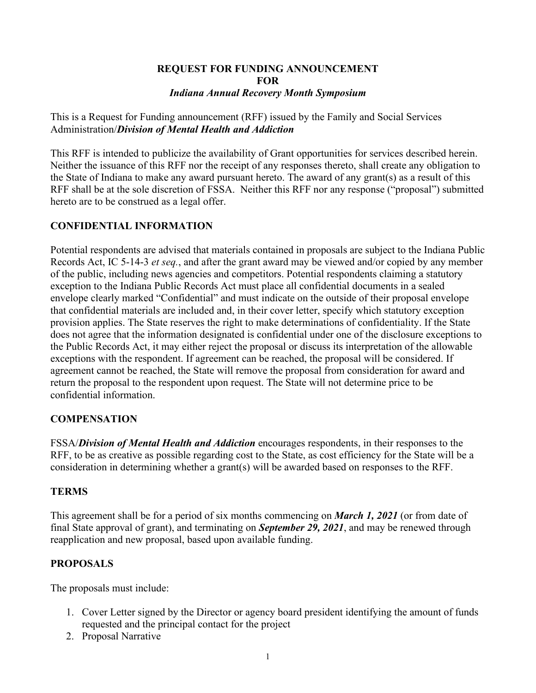#### **REQUEST FOR FUNDING ANNOUNCEMENT FOR** *Indiana Annual Recovery Month Symposium*

This is a Request for Funding announcement (RFF) issued by the Family and Social Services Administration/*Division of Mental Health and Addiction*

This RFF is intended to publicize the availability of Grant opportunities for services described herein. Neither the issuance of this RFF nor the receipt of any responses thereto, shall create any obligation to the State of Indiana to make any award pursuant hereto. The award of any grant(s) as a result of this RFF shall be at the sole discretion of FSSA. Neither this RFF nor any response ("proposal") submitted hereto are to be construed as a legal offer.

## **CONFIDENTIAL INFORMATION**

Potential respondents are advised that materials contained in proposals are subject to the Indiana Public Records Act, IC 5-14-3 *et seq.*, and after the grant award may be viewed and/or copied by any member of the public, including news agencies and competitors. Potential respondents claiming a statutory exception to the Indiana Public Records Act must place all confidential documents in a sealed envelope clearly marked "Confidential" and must indicate on the outside of their proposal envelope that confidential materials are included and, in their cover letter, specify which statutory exception provision applies. The State reserves the right to make determinations of confidentiality. If the State does not agree that the information designated is confidential under one of the disclosure exceptions to the Public Records Act, it may either reject the proposal or discuss its interpretation of the allowable exceptions with the respondent. If agreement can be reached, the proposal will be considered. If agreement cannot be reached, the State will remove the proposal from consideration for award and return the proposal to the respondent upon request. The State will not determine price to be confidential information.

## **COMPENSATION**

FSSA/*Division of Mental Health and Addiction* encourages respondents, in their responses to the RFF, to be as creative as possible regarding cost to the State, as cost efficiency for the State will be a consideration in determining whether a grant(s) will be awarded based on responses to the RFF.

## **TERMS**

This agreement shall be for a period of six months commencing on *March 1, 2021* (or from date of final State approval of grant), and terminating on *September 29, 2021*, and may be renewed through reapplication and new proposal, based upon available funding.

# **PROPOSALS**

The proposals must include:

- 1. Cover Letter signed by the Director or agency board president identifying the amount of funds requested and the principal contact for the project
- 2. Proposal Narrative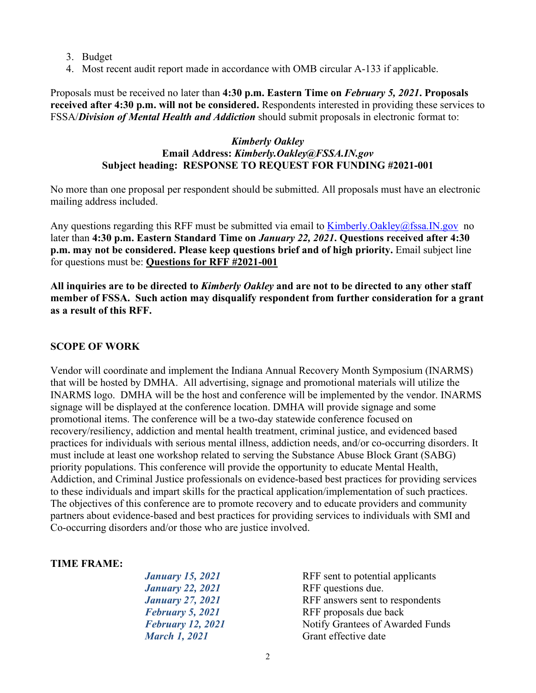- 3. Budget
- 4. Most recent audit report made in accordance with OMB circular A-133 if applicable.

Proposals must be received no later than **4:30 p.m. Eastern Time on** *February 5, 2021***. Proposals received after 4:30 p.m. will not be considered.** Respondents interested in providing these services to FSSA/*Division of Mental Health and Addiction* should submit proposals in electronic format to:

#### *Kimberly Oakley* **Email Address:** *Kimberly.Oakley@FSSA.IN.gov*  **Subject heading: RESPONSE TO REQUEST FOR FUNDING #2021-001**

No more than one proposal per respondent should be submitted. All proposals must have an electronic mailing address included.

Any questions regarding this RFF must be submitted via email to [Kimberly.Oakley@fssa.IN.gov](mailto:Kimberly.Oakley@fssa.IN.gov) no later than **4:30 p.m. Eastern Standard Time on** *January 22, 2021***. Questions received after 4:30 p.m. may not be considered. Please keep questions brief and of high priority.** Email subject line for questions must be: **Questions for RFF #2021-001**

**All inquiries are to be directed to** *Kimberly Oakley* **and are not to be directed to any other staff member of FSSA. Such action may disqualify respondent from further consideration for a grant as a result of this RFF.**

## **SCOPE OF WORK**

Vendor will coordinate and implement the Indiana Annual Recovery Month Symposium (INARMS) that will be hosted by DMHA. All advertising, signage and promotional materials will utilize the INARMS logo. DMHA will be the host and conference will be implemented by the vendor. INARMS signage will be displayed at the conference location. DMHA will provide signage and some promotional items. The conference will be a two-day statewide conference focused on recovery/resiliency, addiction and mental health treatment, criminal justice, and evidenced based practices for individuals with serious mental illness, addiction needs, and/or co-occurring disorders. It must include at least one workshop related to serving the Substance Abuse Block Grant (SABG) priority populations. This conference will provide the opportunity to educate Mental Health, Addiction, and Criminal Justice professionals on evidence-based best practices for providing services to these individuals and impart skills for the practical application/implementation of such practices. The objectives of this conference are to promote recovery and to educate providers and community partners about evidence-based and best practices for providing services to individuals with SMI and Co-occurring disorders and/or those who are justice involved.

#### **TIME FRAME:**

| RFF sent to potential applicants |
|----------------------------------|
| RFF questions due.               |
| RFF answers sent to respondents  |
| RFF proposals due back           |
| Notify Grantees of Awarded Funds |
| Grant effective date             |
|                                  |